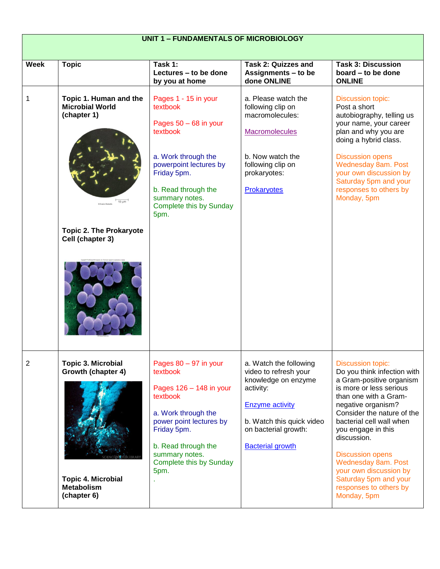| <b>UNIT 1 - FUNDAMENTALS OF MICROBIOLOGY</b> |                                                                                                                                     |                                                                                                                                                                                                                           |                                                                                                                                                                                               |                                                                                                                                                                                                                                                                                                                                                                                                            |
|----------------------------------------------|-------------------------------------------------------------------------------------------------------------------------------------|---------------------------------------------------------------------------------------------------------------------------------------------------------------------------------------------------------------------------|-----------------------------------------------------------------------------------------------------------------------------------------------------------------------------------------------|------------------------------------------------------------------------------------------------------------------------------------------------------------------------------------------------------------------------------------------------------------------------------------------------------------------------------------------------------------------------------------------------------------|
| <b>Week</b>                                  | <b>Topic</b>                                                                                                                        | Task 1:<br>Lectures - to be done<br>by you at home                                                                                                                                                                        | <b>Task 2: Quizzes and</b><br>Assignments - to be<br>done ONLINE                                                                                                                              | <b>Task 3: Discussion</b><br>board – to be done<br><b>ONLINE</b>                                                                                                                                                                                                                                                                                                                                           |
| 1                                            | Topic 1. Human and the<br><b>Microbial World</b><br>(chapter 1)<br>$10 \mu m$<br><b>Topic 2. The Prokaryote</b><br>Cell (chapter 3) | Pages 1 - 15 in your<br>textbook<br>Pages $50 - 68$ in your<br>textbook<br>a. Work through the<br>powerpoint lectures by<br>Friday 5pm.<br>b. Read through the<br>summary notes.<br>Complete this by Sunday<br>5pm.       | a. Please watch the<br>following clip on<br>macromolecules:<br><b>Macromolecules</b><br>b. Now watch the<br>following clip on<br>prokaryotes:<br>Prokaryotes                                  | Discussion topic:<br>Post a short<br>autobiography, telling us<br>your name, your career<br>plan and why you are<br>doing a hybrid class.<br><b>Discussion opens</b><br>Wednesday 8am. Post<br>your own discussion by<br>Saturday 5pm and your<br>responses to others by<br>Monday, 5pm                                                                                                                    |
| 2                                            | <b>Topic 3. Microbial</b><br>Growth (chapter 4)<br><b>Topic 4. Microbial</b><br><b>Metabolism</b><br>(chapter 6)                    | Pages $80 - 97$ in your<br>textbook<br>Pages $126 - 148$ in your<br>textbook<br>a. Work through the<br>power point lectures by<br>Friday 5pm.<br>b. Read through the<br>summary notes.<br>Complete this by Sunday<br>5pm. | a. Watch the following<br>video to refresh your<br>knowledge on enzyme<br>activity:<br><b>Enzyme activity</b><br>b. Watch this quick video<br>on bacterial growth:<br><b>Bacterial growth</b> | <b>Discussion topic:</b><br>Do you think infection with<br>a Gram-positive organism<br>is more or less serious<br>than one with a Gram-<br>negative organism?<br>Consider the nature of the<br>bacterial cell wall when<br>you engage in this<br>discussion.<br><b>Discussion opens</b><br>Wednesday 8am. Post<br>your own discussion by<br>Saturday 5pm and your<br>responses to others by<br>Monday, 5pm |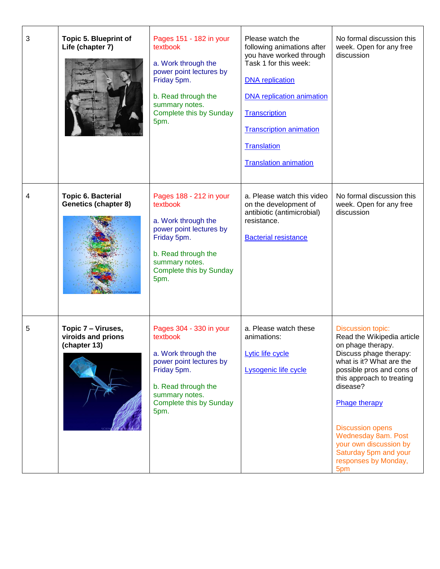| 3 | <b>Topic 5. Blueprint of</b><br>Life (chapter 7)         | Pages 151 - 182 in your<br>textbook<br>a. Work through the<br>power point lectures by<br>Friday 5pm.<br>b. Read through the<br>summary notes.<br>Complete this by Sunday<br>5pm. | Please watch the<br>following animations after<br>you have worked through<br>Task 1 for this week:<br><b>DNA</b> replication<br><b>DNA</b> replication animation<br>Transcription<br><b>Transcription animation</b><br><b>Translation</b><br><b>Translation animation</b> | No formal discussion this<br>week. Open for any free<br>discussion                                                                                                                                                                                                                                                                                           |
|---|----------------------------------------------------------|----------------------------------------------------------------------------------------------------------------------------------------------------------------------------------|---------------------------------------------------------------------------------------------------------------------------------------------------------------------------------------------------------------------------------------------------------------------------|--------------------------------------------------------------------------------------------------------------------------------------------------------------------------------------------------------------------------------------------------------------------------------------------------------------------------------------------------------------|
| 4 | <b>Topic 6. Bacterial</b><br><b>Genetics (chapter 8)</b> | Pages 188 - 212 in your<br>textbook<br>a. Work through the<br>power point lectures by<br>Friday 5pm.<br>b. Read through the<br>summary notes.<br>Complete this by Sunday<br>5pm. | a. Please watch this video<br>on the development of<br>antibiotic (antimicrobial)<br>resistance.<br><b>Bacterial resistance</b>                                                                                                                                           | No formal discussion this<br>week. Open for any free<br>discussion                                                                                                                                                                                                                                                                                           |
| 5 | Topic 7 - Viruses,<br>viroids and prions<br>(chapter 13) | Pages 304 - 330 in your<br>textbook<br>a. Work through the<br>power point lectures by<br>Friday 5pm.<br>b. Read through the<br>summary notes.<br>Complete this by Sunday<br>5pm. | a. Please watch these<br>animations:<br>Lytic life cycle<br>Lysogenic life cycle                                                                                                                                                                                          | <b>Discussion topic:</b><br>Read the Wikipedia article<br>on phage therapy.<br>Discuss phage therapy:<br>what is it? What are the<br>possible pros and cons of<br>this approach to treating<br>disease?<br>Phage therapy<br><b>Discussion opens</b><br>Wednesday 8am. Post<br>your own discussion by<br>Saturday 5pm and your<br>responses by Monday,<br>5pm |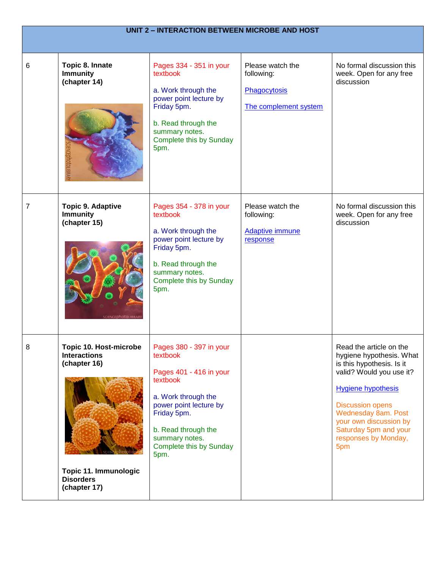| <b>UNIT 2 - INTERACTION BETWEEN MICROBE AND HOST</b> |                                                                                                                                   |                                                                                                                                                                                                                        |                                                                         |                                                                                                                                                                                                                                                                               |  |
|------------------------------------------------------|-----------------------------------------------------------------------------------------------------------------------------------|------------------------------------------------------------------------------------------------------------------------------------------------------------------------------------------------------------------------|-------------------------------------------------------------------------|-------------------------------------------------------------------------------------------------------------------------------------------------------------------------------------------------------------------------------------------------------------------------------|--|
| 6                                                    | Topic 8. Innate<br><b>Immunity</b><br>(chapter 14)<br>ENCEDNOTOLIBRAR                                                             | Pages 334 - 351 in your<br>textbook<br>a. Work through the<br>power point lecture by<br>Friday 5pm.<br>b. Read through the<br>summary notes.<br>Complete this by Sunday<br>5pm.                                        | Please watch the<br>following:<br>Phagocytosis<br>The complement system | No formal discussion this<br>week. Open for any free<br>discussion                                                                                                                                                                                                            |  |
| 7                                                    | <b>Topic 9. Adaptive</b><br><b>Immunity</b><br>(chapter 15)<br><b>SCIENCED hotoLIBRAR</b>                                         | Pages 354 - 378 in your<br>textbook<br>a. Work through the<br>power point lecture by<br>Friday 5pm.<br>b. Read through the<br>summary notes.<br>Complete this by Sunday<br>5pm.                                        | Please watch the<br>following:<br><b>Adaptive immune</b><br>response    | No formal discussion this<br>week. Open for any free<br>discussion                                                                                                                                                                                                            |  |
| 8                                                    | Topic 10. Host-microbe<br><b>Interactions</b><br>(chapter 16)<br><b>Topic 11. Immunologic</b><br><b>Disorders</b><br>(chapter 17) | Pages 380 - 397 in your<br>textbook<br>Pages 401 - 416 in your<br>textbook<br>a. Work through the<br>power point lecture by<br>Friday 5pm.<br>b. Read through the<br>summary notes.<br>Complete this by Sunday<br>5pm. |                                                                         | Read the article on the<br>hygiene hypothesis. What<br>is this hypothesis. Is it<br>valid? Would you use it?<br><b>Hygiene hypothesis</b><br><b>Discussion opens</b><br>Wednesday 8am. Post<br>your own discussion by<br>Saturday 5pm and your<br>responses by Monday,<br>5pm |  |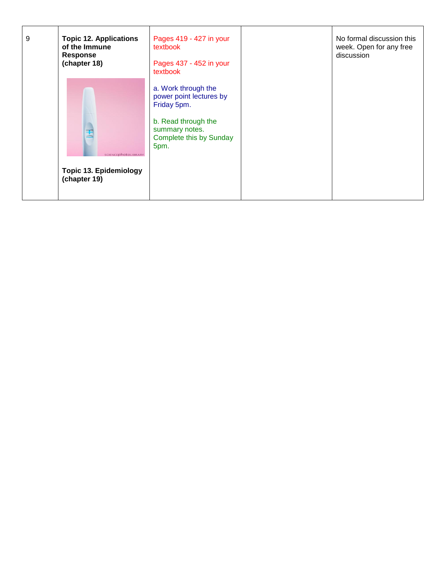| 9 | <b>Topic 12. Applications</b><br>of the Immune<br><b>Response</b><br>(chapter 18) | Pages 419 - 427 in your<br>textbook<br>Pages 437 - 452 in your<br>textbook                                                                | No formal discussion this<br>week. Open for any free<br>discussion |
|---|-----------------------------------------------------------------------------------|-------------------------------------------------------------------------------------------------------------------------------------------|--------------------------------------------------------------------|
|   | SCIENCEDHOTOLIBRARY<br><b>Topic 13. Epidemiology</b><br>(chapter 19)              | a. Work through the<br>power point lectures by<br>Friday 5pm.<br>b. Read through the<br>summary notes.<br>Complete this by Sunday<br>5pm. |                                                                    |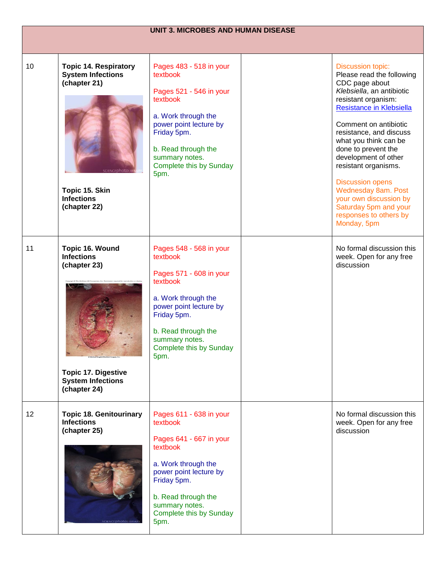| <b>UNIT 3. MICROBES AND HUMAN DISEASE</b> |                                                                                                                                                         |                                                                                                                                                                                                                        |  |                                                                                                                                                                                                                                                                                                                                                                                                                                                           |
|-------------------------------------------|---------------------------------------------------------------------------------------------------------------------------------------------------------|------------------------------------------------------------------------------------------------------------------------------------------------------------------------------------------------------------------------|--|-----------------------------------------------------------------------------------------------------------------------------------------------------------------------------------------------------------------------------------------------------------------------------------------------------------------------------------------------------------------------------------------------------------------------------------------------------------|
|                                           |                                                                                                                                                         |                                                                                                                                                                                                                        |  |                                                                                                                                                                                                                                                                                                                                                                                                                                                           |
| 10                                        | <b>Topic 14. Respiratory</b><br><b>System Infections</b><br>(chapter 21)<br><b>SCIENCEDhotoL</b><br>Topic 15. Skin<br><b>Infections</b><br>(chapter 22) | Pages 483 - 518 in your<br>textbook<br>Pages 521 - 546 in your<br>textbook<br>a. Work through the<br>power point lecture by<br>Friday 5pm.<br>b. Read through the<br>summary notes.<br>Complete this by Sunday<br>5pm. |  | <b>Discussion topic:</b><br>Please read the following<br>CDC page about<br>Klebsiella, an antibiotic<br>resistant organism:<br>Resistance in Klebsiella<br>Comment on antibiotic<br>resistance, and discuss<br>what you think can be<br>done to prevent the<br>development of other<br>resistant organisms.<br><b>Discussion opens</b><br>Wednesday 8am. Post<br>your own discussion by<br>Saturday 5pm and your<br>responses to others by<br>Monday, 5pm |
| 11                                        | Topic 16. Wound<br><b>Infections</b><br>(chapter 23)<br><b>Topic 17. Digestive</b><br><b>System Infections</b><br>(chapter 24)                          | Pages 548 - 568 in your<br>textbook<br>Pages 571 - 608 in your<br>textbook<br>a. Work through the<br>power point lecture by<br>Friday 5pm.<br>b. Read through the<br>summary notes.<br>Complete this by Sunday<br>5pm. |  | No formal discussion this<br>week. Open for any free<br>discussion                                                                                                                                                                                                                                                                                                                                                                                        |
| 12                                        | <b>Topic 18. Genitourinary</b><br><b>Infections</b><br>(chapter 25)                                                                                     | Pages 611 - 638 in your<br>textbook<br>Pages 641 - 667 in your<br>textbook<br>a. Work through the<br>power point lecture by<br>Friday 5pm.<br>b. Read through the<br>summary notes.<br>Complete this by Sunday<br>5pm. |  | No formal discussion this<br>week. Open for any free<br>discussion                                                                                                                                                                                                                                                                                                                                                                                        |